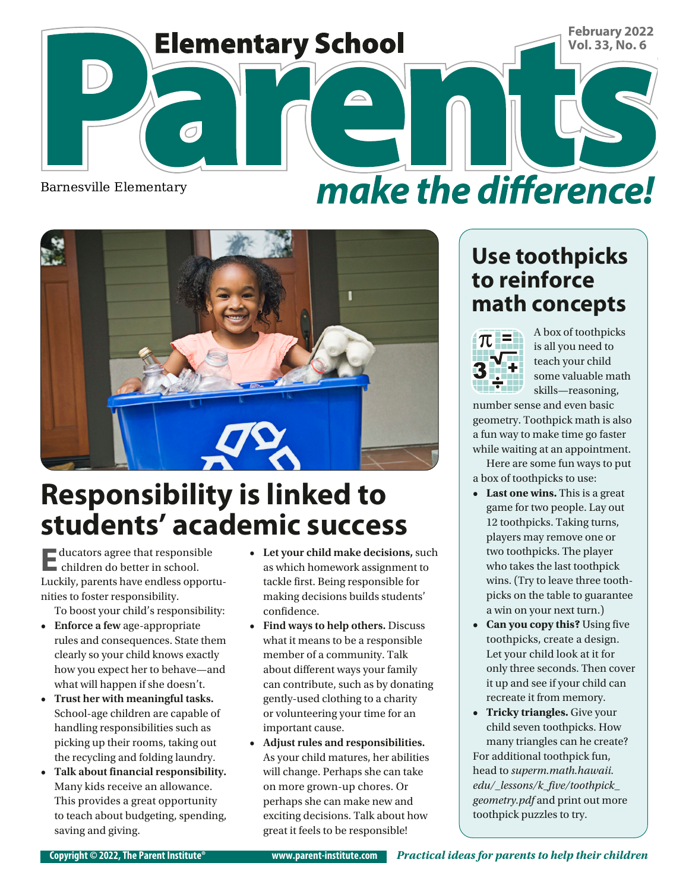

Barnesville Elementary

# make the difference!



# **Responsibility is linked to students' academic success**

**E**ducators agree that responsible children do better in school. Luckily, parents have endless opportunities to foster responsibility.

To boost your child's responsibility:

- **• Enforce a few** age-appropriate rules and consequences. State them clearly so your child knows exactly how you expect her to behave—and what will happen if she doesn't.
- **• Trust her with meaningful tasks.**  School-age children are capable of handling responsibilities such as picking up their rooms, taking out the recycling and folding laundry.
- **• Talk about financial responsibility.** Many kids receive an allowance. This provides a great opportunity to teach about budgeting, spending, saving and giving.
- **• Let your child make decisions,** such as which homework assignment to tackle first. Being responsible for making decisions builds students' confidence.
- **• Find ways to help others.** Discuss what it means to be a responsible member of a community. Talk about different ways your family can contribute, such as by donating gently-used clothing to a charity or volunteering your time for an important cause.
- **• Adjust rules and responsibilities.**  As your child matures, her abilities will change. Perhaps she can take on more grown-up chores. Or perhaps she can make new and exciting decisions. Talk about how great it feels to be responsible!

#### **Use toothpicks to reinforce math concepts**



A box of toothpicks is all you need to teach your child some valuable math skills—reasoning,

number sense and even basic geometry. Toothpick math is also a fun way to make time go faster while waiting at an appointment.

Here are some fun ways to put a box of toothpicks to use:

- **• Last one wins.** This is a great game for two people. Lay out 12 toothpicks. Taking turns, players may remove one or two toothpicks. The player who takes the last toothpick wins. (Try to leave three toothpicks on the table to guarantee a win on your next turn.)
- **• Can you copy this?** Using five toothpicks, create a design. Let your child look at it for only three seconds. Then cover it up and see if your child can recreate it from memory.
- **• Tricky triangles.** Give your child seven toothpicks. How many triangles can he create? For additional toothpick fun, head to *superm.math.hawaii. edu/\_lessons/k\_five/toothpick\_ geometry.pdf* and print out more toothpick puzzles to try.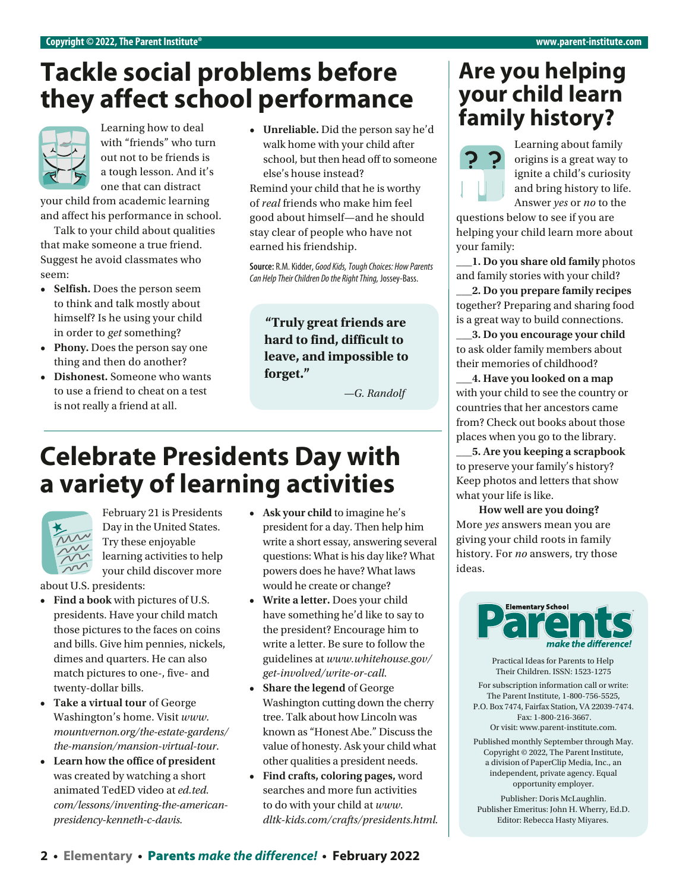## **Tackle social problems before they affect school performance**



with "friends" who turn out not to be friends is a tough lesson. And it's one that can distract

your child from academic learning and affect his performance in school.

Talk to your child about qualities that make someone a true friend. Suggest he avoid classmates who seem:

- **• Selfish.** Does the person seem to think and talk mostly about himself? Is he using your child in order to *get* something?
- **• Phony.** Does the person say one thing and then do another?
- **• Dishonest.** Someone who wants to use a friend to cheat on a test is not really a friend at all.

**• Unreliable.** Did the person say he'd walk home with your child after school, but then head off to someone else's house instead?

Remind your child that he is worthy of *real* friends who make him feel good about himself—and he should stay clear of people who have not earned his friendship.

**Source:** R.M. Kidder, *Good Kids,Tough Choices: How Parents Can Help Their Children Do the Right Thing,* Jossey-Bass.

**"Truly great friends are hard to find, difficult to leave, and impossible to forget."**

 *—G. Randolf*

## **Celebrate Presidents Day with a variety of learning activities**



February 21 is Presidents Day in the United States. Try these enjoyable learning activities to help your child discover more

about U.S. presidents:

- **• Find a book** with pictures of U.S. presidents. Have your child match those pictures to the faces on coins and bills. Give him pennies, nickels, dimes and quarters. He can also match pictures to one-, five- and twenty-dollar bills.
- **• Take a virtual tour** of George Washington's home. Visit *[www.](http://www.mountvernon.org/the-estate-gardens/the-mansion/mansion-virtual-tour) [mountvernon.org/the-estate-gardens/](http://www.mountvernon.org/the-estate-gardens/the-mansion/mansion-virtual-tour) [the-mansion/mansion-virtual-tour](http://www.mountvernon.org/the-estate-gardens/the-mansion/mansion-virtual-tour)*.
- **• Learn how the office of president**  was created by watching a short animated TedED video at *[ed.ted.](http://ed.ted.com/lessons/inventing-the-american-presidency-kenneth-c-davis) [com/lessons/inventing-the-american](http://ed.ted.com/lessons/inventing-the-american-presidency-kenneth-c-davis)[presidency-kenneth-c-davis.](http://ed.ted.com/lessons/inventing-the-american-presidency-kenneth-c-davis)*
- **• Ask your child** to imagine he's president for a day. Then help him write a short essay, answering several questions: What is his day like? What powers does he have? What laws would he create or change?
- **• Write a letter.** Does your child have something he'd like to say to the president? Encourage him to write a letter. Be sure to follow the guidelines at *[www.whitehouse.gov/](http://www.whitehouse.gov/get-involved/write-or-call) [get-involved/write-or-call.](http://www.whitehouse.gov/get-involved/write-or-call)*
- **• Share the legend** of George Washington cutting down the cherry tree. Talk about how Lincoln was known as "Honest Abe." Discuss the value of honesty. Ask your child what other qualities a president needs.
- **• Find crafts, coloring pages,** word searches and more fun activities to do with your child at *[www.](http://www.dltk-kids.com/crafts/presidents.html) [dltk-kids.com/crafts/presidents.html](http://www.dltk-kids.com/crafts/presidents.html).*

#### **Are you helping your child learn**  Learning how to deal **by the United States of the person say he'd family history?**



Learning about family origins is a great way to ignite a child's curiosity and bring history to life. Answer *yes* or *no* to the

questions below to see if you are helping your child learn more about your family:

**\_\_\_1. Do you share old family** photos and family stories with your child?

**\_\_\_2. Do you prepare family recipes**  together? Preparing and sharing food is a great way to build connections.

**\_\_\_3. Do you encourage your child**  to ask older family members about their memories of childhood?

**\_\_\_4. Have you looked on a map** with your child to see the country or countries that her ancestors came from? Check out books about those places when you go to the library.

**\_\_\_5. Are you keeping a scrapbook** to preserve your family's history? Keep photos and letters that show what your life is like.

 **How well are you doing?** More *yes* answers mean you are giving your child roots in family history. For *no* answers, try those ideas.



Practical Ideas for Parents to Help Their Children. ISSN: 1523-1275

For subscription information call or write: The Parent Institute, 1-800-756-5525, P.O. Box 7474, Fairfax Station, VA 22039-7474. Fax: 1-800-216-3667.

Or visit: www.parent-institute.com.

Published monthly September through May. Copyright © 2022, The Parent Institute, a division of PaperClip Media, Inc., an independent, private agency. Equal opportunity employer.

Publisher: Doris McLaughlin. Publisher Emeritus: John H. Wherry, Ed.D. Editor: Rebecca Hasty Miyares.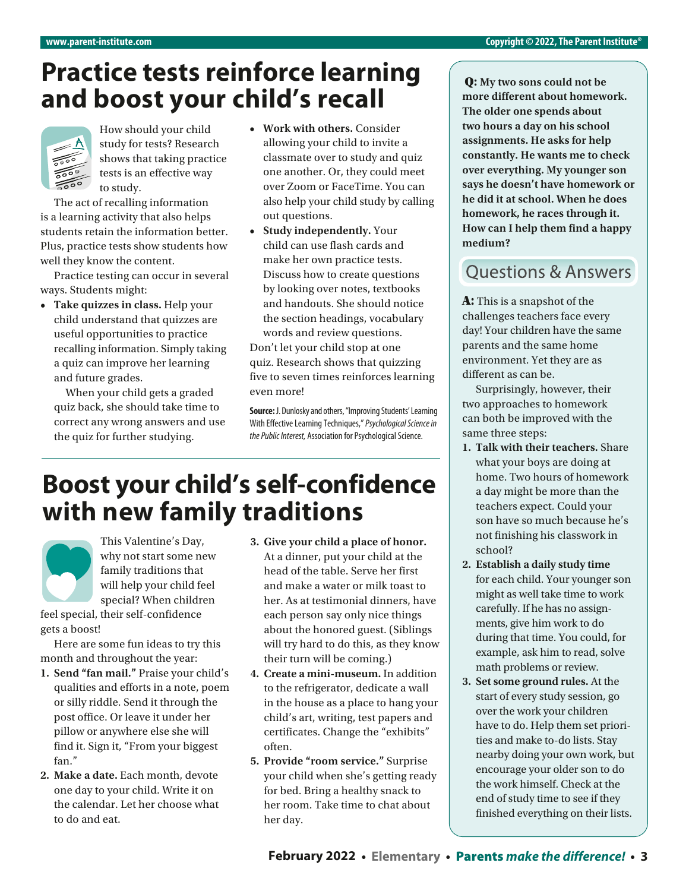#### **Practice tests reinforce learning and boost your child's recall**



How should your child study for tests? Research shows that taking practice tests is an effective way to study.

The act of recalling information is a learning activity that also helps students retain the information better. Plus, practice tests show students how well they know the content.

Practice testing can occur in several ways. Students might:

**• Take quizzes in class.** Help your child understand that quizzes are useful opportunities to practice recalling information. Simply taking a quiz can improve her learning and future grades.

 When your child gets a graded quiz back, she should take time to correct any wrong answers and use the quiz for further studying.

- **• Work with others.** Consider allowing your child to invite a classmate over to study and quiz one another. Or, they could meet over Zoom or FaceTime. You can also help your child study by calling out questions.
- **• Study independently.** Your child can use flash cards and make her own practice tests. Discuss how to create questions by looking over notes, textbooks and handouts. She should notice the section headings, vocabulary words and review questions.

Don't let your child stop at one quiz. Research shows that quizzing five to seven times reinforces learning even more!

**Source:** J. Dunlosky and others, "Improving Students' Learning With Effective Learning Techniques," *Psychological Science in the Public Interest,* Association for Psychological Science.

#### **Boost your child's self-confidence with new family traditions**

This Valentine's Day, why not start some new family traditions that will help your child feel special? When children

feel special, their self-confidence gets a boost!

Here are some fun ideas to try this month and throughout the year:

- **1. Send "fan mail."** Praise your child's qualities and efforts in a note, poem or silly riddle. Send it through the post office. Or leave it under her pillow or anywhere else she will find it. Sign it, "From your biggest fan."
- **2. Make a date.** Each month, devote one day to your child. Write it on the calendar. Let her choose what to do and eat.
- **3. Give your child a place of honor.** At a dinner, put your child at the head of the table. Serve her first and make a water or milk toast to her. As at testimonial dinners, have each person say only nice things about the honored guest. (Siblings will try hard to do this, as they know their turn will be coming.)
- **4. Create a mini-museum.** In addition to the refrigerator, dedicate a wall in the house as a place to hang your child's art, writing, test papers and certificates. Change the "exhibits" often.
- **5. Provide "room service."** Surprise your child when she's getting ready for bed. Bring a healthy snack to her room. Take time to chat about her day.

Q: **My two sons could not be more different about homework. The older one spends about two hours a day on his school assignments. He asks for help constantly. He wants me to check over everything. My younger son says he doesn't have homework or he did it at school. When he does homework, he races through it. How can I help them find a happy medium?**

#### **Ouestions & Answers**

A: This is a snapshot of the challenges teachers face every day! Your children have the same parents and the same home environment. Yet they are as different as can be.

Surprisingly, however, their two approaches to homework can both be improved with the same three steps:

- **1. Talk with their teachers.** Share what your boys are doing at home. Two hours of homework a day might be more than the teachers expect. Could your son have so much because he's not finishing his classwork in school?
- **2. Establish a daily study time**  for each child. Your younger son might as well take time to work carefully. If he has no assignments, give him work to do during that time. You could, for example, ask him to read, solve math problems or review.
- **3. Set some ground rules.** At the start of every study session, go over the work your children have to do. Help them set priorities and make to-do lists. Stay nearby doing your own work, but encourage your older son to do the work himself. Check at the end of study time to see if they finished everything on their lists.